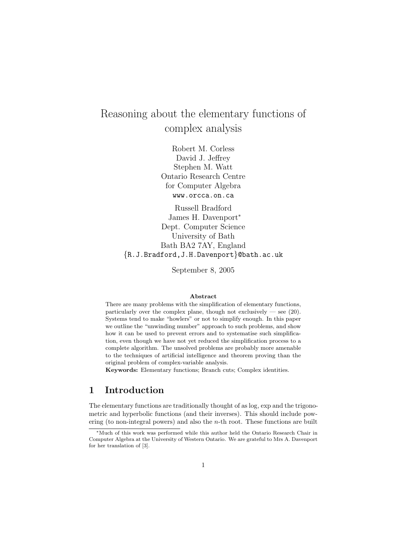# Reasoning about the elementary functions of complex analysis

Robert M. Corless David J. Jeffrey Stephen M. Watt Ontario Research Centre for Computer Algebra www.orcca.on.ca

Russell Bradford James H. Davenport<sup>∗</sup> Dept. Computer Science University of Bath Bath BA2 7AY, England {R.J.Bradford,J.H.Davenport}@bath.ac.uk

September 8, 2005

#### Abstract

There are many problems with the simplification of elementary functions, particularly over the complex plane, though not exclusively  $-$  see (20). Systems tend to make "howlers" or not to simplify enough. In this paper we outline the "unwinding number" approach to such problems, and show how it can be used to prevent errors and to systematise such simplification, even though we have not yet reduced the simplification process to a complete algorithm. The unsolved problems are probably more amenable to the techniques of artificial intelligence and theorem proving than the original problem of complex-variable analysis.

Keywords: Elementary functions; Branch cuts; Complex identities.

# 1 Introduction

The elementary functions are traditionally thought of as log, exp and the trigonometric and hyperbolic functions (and their inverses). This should include powering (to non-integral powers) and also the  $n$ -th root. These functions are built

<sup>∗</sup>Much of this work was performed while this author held the Ontario Research Chair in Computer Algebra at the University of Western Ontario. We are grateful to Mrs A. Davenport for her translation of [3].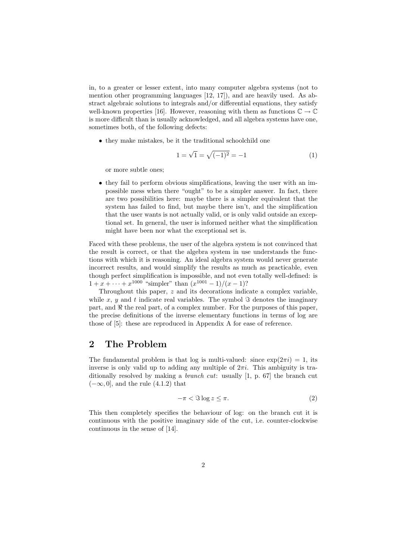in, to a greater or lesser extent, into many computer algebra systems (not to mention other programming languages [12, 17]), and are heavily used. As abstract algebraic solutions to integrals and/or differential equations, they satisfy well-known properties [16]. However, reasoning with them as functions  $\mathbb{C} \to \mathbb{C}$ is more difficult than is usually acknowledged, and all algebra systems have one, sometimes both, of the following defects:

• they make mistakes, be it the traditional schoolchild one

$$
1 = \sqrt{1} = \sqrt{(-1)^2} = -1
$$
 (1)

or more subtle ones;

• they fail to perform obvious simplifications, leaving the user with an impossible mess when there "ought" to be a simpler answer. In fact, there are two possibilities here: maybe there is a simpler equivalent that the system has failed to find, but maybe there isn't, and the simplification that the user wants is not actually valid, or is only valid outside an exceptional set. In general, the user is informed neither what the simplification might have been nor what the exceptional set is.

Faced with these problems, the user of the algebra system is not convinced that the result is correct, or that the algebra system in use understands the functions with which it is reasoning. An ideal algebra system would never generate incorrect results, and would simplify the results as much as practicable, even though perfect simplification is impossible, and not even totally well-defined: is  $1 + x + \cdots + x^{1000}$  "simpler" than  $(x^{1001} - 1)/(x - 1)$ ?

Throughout this paper, z and its decorations indicate a complex variable, while x, y and t indicate real variables. The symbol  $\Im$  denotes the imaginary part, and  $\Re$  the real part, of a complex number. For the purposes of this paper, the precise definitions of the inverse elementary functions in terms of log are those of [5]: these are reproduced in Appendix A for ease of reference.

# 2 The Problem

The fundamental problem is that log is multi-valued: since  $\exp(2\pi i) = 1$ , its inverse is only valid up to adding any multiple of  $2\pi i$ . This ambiguity is traditionally resolved by making a branch cut: usually [1, p. 67] the branch cut  $(-\infty, 0]$ , and the rule  $(4.1.2)$  that

$$
-\pi < \Im \log z \le \pi. \tag{2}
$$

This then completely specifies the behaviour of log: on the branch cut it is continuous with the positive imaginary side of the cut, i.e. counter-clockwise continuous in the sense of [14].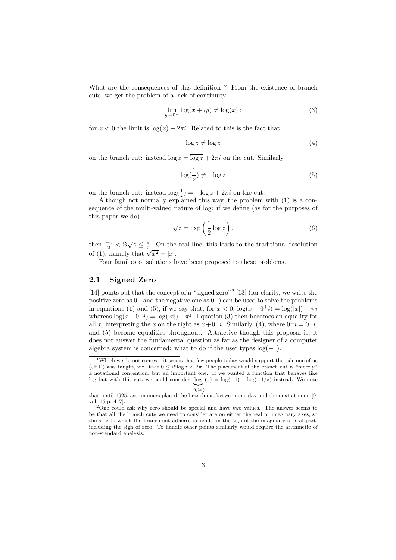What are the consequences of this definition<sup>1</sup>? From the existence of branch cuts, we get the problem of a lack of continuity:

$$
\lim_{y \to 0^-} \log(x + iy) \neq \log(x) : \tag{3}
$$

for  $x < 0$  the limit is  $log(x) - 2\pi i$ . Related to this is the fact that

$$
\log \overline{z} \neq \overline{\log z} \tag{4}
$$

on the branch cut: instead  $\log \overline{z} = \overline{\log z} + 2\pi i$  on the cut. Similarly,

$$
\log(\frac{1}{z}) \neq -\log z \tag{5}
$$

on the branch cut: instead  $\log(\frac{1}{z}) = -\log z + 2\pi i$  on the cut.

Although not normally explained this way, the problem with (1) is a consequence of the multi-valued nature of log: if we define (as for the purposes of this paper we do)

$$
\sqrt{z} = \exp\left(\frac{1}{2}\log z\right),\tag{6}
$$

then  $\frac{-\pi}{2} < \Im \sqrt{z} \leq \frac{\pi}{2}$ . On the real line, this leads to the traditional resolution of (1), namely that  $\sqrt{x^2} = |x|$ .

Four families of solutions have been proposed to these problems.

### 2.1 Signed Zero

[14] points out that the concept of a "signed zero"<sup>2</sup> [13] (for clarity, we write the positive zero as  $0^+$  and the negative one as  $0^-$ ) can be used to solve the problems in equations (1) and (5), if we say that, for  $x < 0$ ,  $\log(x + 0^+i) = \log(|x|) + \pi i$ whereas  $\log(x+0^-i) = \log(|x|)-\pi i$ . Equation (3) then becomes an equality for all x, interpreting the x on the right as  $x + 0^-i$ . Similarly, (4), where  $0^+i = 0^-i$ . and (5) become equalities throughout. Attractive though this proposal is, it does not answer the fundamental question as far as the designer of a computer algebra system is concerned: what to do if the user types  $log(-1)$ .

<sup>1</sup>Which we do not contest: it seems that few people today would support the rule one of us (JHD) was taught, viz. that  $0 \leq \Im \log z < 2\pi$ . The placement of the branch cut is "merely" a notational convention, but an important one. If we wanted a function that behaves like log but with this cut, we could consider  $log(z) = log(-1) - log(-1/z)$  instead. We note  $|_{0,2\pi}$ 

that, until 1925, astronomers placed the branch cut between one day and the next at noon [9, vol. 15 p. 417].

<sup>&</sup>lt;sup>2</sup>One could ask why zero should be special and have two values. The answer seems to be that all the branch cuts we need to consider are on either the real or imaginary axes, so the side to which the branch cut adheres depends on the sign of the imaginary or real part, including the sign of zero. To handle other points similarly would require the arithmetic of non-standard analysis.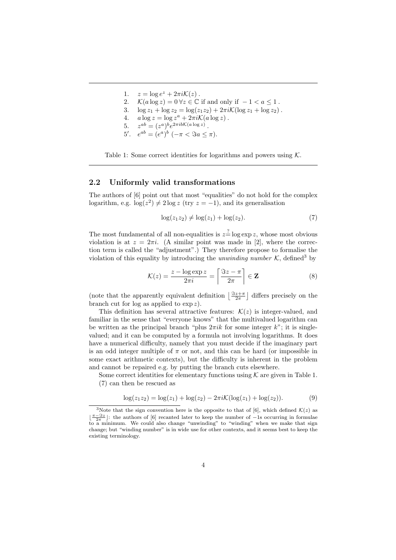- 1.  $z = \log e^z + 2\pi i \mathcal{K}(z)$ .
- 2.  $\mathcal{K}(a \log z) = 0 \,\forall z \in \mathbb{C}$  if and only if  $-1 < a \leq 1$ .
- 3.  $\log z_1 + \log z_2 = \log(z_1z_2) + 2\pi i \mathcal{K}(\log z_1 + \log z_2)$ .
- 4.  $a \log z = \log z^a + 2\pi i \mathcal{K}(a \log z)$ .
- 5.  $z^{ab} = (z^a)^b e^{2\pi i b \mathcal{K}(a \log z)}$ .
- 5'.  $e^{ab} = (e^a)^b$   $(-\pi < \Im a \leq \pi)$ .

Table 1: Some correct identities for logarithms and powers using  $K$ .

### 2.2 Uniformly valid transformations

The authors of [6] point out that most "equalities" do not hold for the complex logarithm, e.g.  $\log(z^2) \neq 2 \log z$  (try  $z = -1$ ), and its generalisation

$$
\log(z_1 z_2) \neq \log(z_1) + \log(z_2). \tag{7}
$$

The most fundamental of all non-equalities is  $z = \log \exp z$ , whose most obvious violation is at  $z = 2\pi i$ . (A similar point was made in [2], where the correction term is called the "adjustment".) They therefore propose to formalise the violation of this equality by introducing the unwinding number  $K$ , defined<sup>3</sup> by

$$
\mathcal{K}(z) = \frac{z - \log \exp z}{2\pi i} = \left\lceil \frac{\Im z - \pi}{2\pi} \right\rceil \in \mathbf{Z}
$$
 (8)

(note that the apparently equivalent definition  $\left\lfloor \frac{\Im z + \pi}{2\pi} \right\rfloor$  differs precisely on the branch cut for log as applied to  $\exp z$ .

This definition has several attractive features:  $\mathcal{K}(z)$  is integer-valued, and familiar in the sense that "everyone knows" that the multivalued logarithm can be written as the principal branch "plus  $2\pi ik$  for some integer k"; it is singlevalued; and it can be computed by a formula not involving logarithms. It does have a numerical difficulty, namely that you must decide if the imaginary part is an odd integer multiple of  $\pi$  or not, and this can be hard (or impossible in some exact arithmetic contexts), but the difficulty is inherent in the problem and cannot be repaired e.g. by putting the branch cuts elsewhere.

Some correct identities for elementary functions using  $K$  are given in Table 1. (7) can then be rescued as

$$
\log(z_1 z_2) = \log(z_1) + \log(z_2) - 2\pi i \mathcal{K}(\log(z_1) + \log(z_2)).
$$
 (9)

<sup>&</sup>lt;sup>3</sup>Note that the sign convention here is the opposite to that of [6], which defined  $\mathcal{K}(z)$  as  $\lfloor \frac{\pi-3z}{2\pi} \rfloor$ : the authors of [6] recanted later to keep the number of −1s occurring in formulae to a minimum. We could also change "unwinding" to "winding" when we make that sign change; but "winding number" is in wide use for other contexts, and it seems best to keep the existing terminology.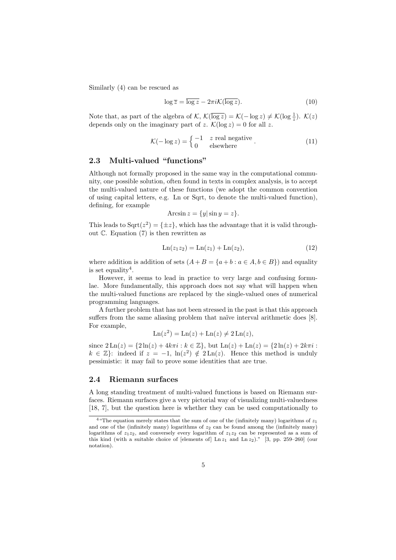Similarly (4) can be rescued as

$$
\log \overline{z} = \overline{\log z} - 2\pi i \mathcal{K}(\overline{\log z}).\tag{10}
$$

Note that, as part of the algebra of  $\mathcal{K}, \mathcal{K}(\overline{\log z}) = \mathcal{K}(-\log z) \neq \mathcal{K}(\log \frac{1}{z}).\ \mathcal{K}(z)$ depends only on the imaginary part of z.  $\mathcal{K}(\log z) = 0$  for all z.

$$
\mathcal{K}(-\log z) = \begin{cases}\n-1 & z \text{ real negative} \\
0 & \text{elsewhere}\n\end{cases}.
$$
\n(11)

### 2.3 Multi-valued "functions"

Although not formally proposed in the same way in the computational community, one possible solution, often found in texts in complex analysis, is to accept the multi-valued nature of these functions (we adopt the common convention of using capital letters, e.g. Ln or Sqrt, to denote the multi-valued function), defining, for example

$$
\text{Arcsin}\,z = \{y|\sin y = z\}.
$$

This leads to  $Sqrt(z^2) = {\pm z}$ , which has the advantage that it is valid throughout C. Equation (7) is then rewritten as

$$
Ln(z_1 z_2) = Ln(z_1) + Ln(z_2),
$$
\n(12)

where addition is addition of sets  $(A + B = \{a + b : a \in A, b \in B\})$  and equality is set equality<sup>4</sup>.

However, it seems to lead in practice to very large and confusing formulae. More fundamentally, this approach does not say what will happen when the multi-valued functions are replaced by the single-valued ones of numerical programming languages.

A further problem that has not been stressed in the past is that this approach suffers from the same aliasing problem that naïve interval arithmetic does [8]. For example,

$$
\operatorname{Ln}(z^2) = \operatorname{Ln}(z) + \operatorname{Ln}(z) \neq 2\operatorname{Ln}(z),
$$

since  $2 \text{Ln}(z) = \{2 \ln(z) + 4k\pi i : k \in \mathbb{Z}\}, \text{ but } \text{Ln}(z) + \text{Ln}(z) = \{2 \ln(z) + 2k\pi i : k \in \mathbb{Z}\}.$  $k \in \mathbb{Z}$ : indeed if  $z = -1$ ,  $\ln(z^2) \notin 2\operatorname{Ln}(z)$ . Hence this method is unduly pessimistic: it may fail to prove some identities that are true.

### 2.4 Riemann surfaces

A long standing treatment of multi-valued functions is based on Riemann surfaces. Riemann surfaces give a very pictorial way of visualizing multi-valuedness [18, 7], but the question here is whether they can be used computationally to

<sup>&</sup>lt;sup>4</sup> "The equation merely states that the sum of one of the (infinitely many) logarithms of  $z_1$ and one of the (infinitely many) logarithms of  $z_2$  can be found among the (infinitely many) logarithms of  $z_1z_2$ , and conversely every logarithm of  $z_1z_2$  can be represented as a sum of this kind (with a suitable choice of [elements of]  $\text{Ln } z_1$  and  $\text{Ln } z_2$ )." [3, pp. 259–260] (our notation).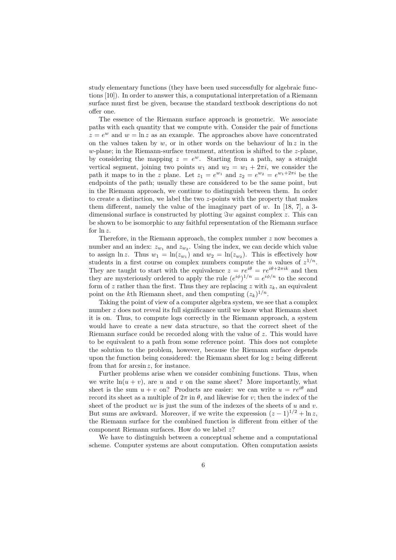study elementary functions (they have been used successfully for algebraic functions [10]). In order to answer this, a computational interpretation of a Riemann surface must first be given, because the standard textbook descriptions do not offer one.

The essence of the Riemann surface approach is geometric. We associate paths with each quantity that we compute with. Consider the pair of functions  $z = e^w$  and  $w = \ln z$  as an example. The approaches above have concentrated on the values taken by w, or in other words on the behaviour of  $\ln z$  in the w-plane; in the Riemann-surface treatment, attention is shifted to the z-plane. by considering the mapping  $z = e^w$ . Starting from a path, say a straight vertical segment, joining two points  $w_1$  and  $w_2 = w_1 + 2\pi i$ , we consider the path it maps to in the z plane. Let  $z_1 = e^{w_1}$  and  $z_2 = e^{w_2} = e^{w_1 + 2\pi i}$  be the endpoints of the path; usually these are considered to be the same point, but in the Riemann approach, we continue to distinguish between them. In order to create a distinction, we label the two  $z$ -points with the property that makes them different, namely the value of the imaginary part of  $w$ . In [18, 7], a 3dimensional surface is constructed by plotting  $\Im w$  against complex z. This can be shown to be isomorphic to any faithful representation of the Riemann surface for ln z.

Therefore, in the Riemann approach, the complex number  $z$  now becomes a number and an index:  $z_{w_1}$  and  $z_{w_2}$ . Using the index, we can decide which value to assign  $\ln z$ . Thus  $w_1 = \ln(z_{w_1})$  and  $w_2 = \ln(z_{w_2})$ . This is effectively how students in a first course on complex numbers compute the *n* values of  $z^{1/n}$ . They are taught to start with the equivalence  $z = re^{i\theta} = re^{i\theta+2\pi i k}$  and then they are mysteriously ordered to apply the rule  $(e^{i\phi})^{1/n} = e^{i\phi/n}$  to the second form of z rather than the first. Thus they are replacing z with  $z_k$ , an equivalent point on the k<sup>th</sup> Riemann sheet, and then computing  $(z_k)^{1/n}$ .

Taking the point of view of a computer algebra system, we see that a complex number z does not reveal its full significance until we know what Riemann sheet it is on. Thus, to compute logs correctly in the Riemann approach, a system would have to create a new data structure, so that the correct sheet of the Riemann surface could be recorded along with the value of  $z$ . This would have to be equivalent to a path from some reference point. This does not complete the solution to the problem, however, because the Riemann surface depends upon the function being considered: the Riemann sheet for  $\log z$  being different from that for  $arcsin z$ , for instance.

Further problems arise when we consider combining functions. Thus, when we write  $ln(u + v)$ , are u and v on the same sheet? More importantly, what sheet is the sum  $u + v$  on? Products are easier: we can write  $u = re^{i\theta}$  and record its sheet as a multiple of  $2\pi$  in  $\theta$ , and likewise for v; then the index of the sheet of the product uv is just the sum of the indexes of the sheets of  $u$  and  $v$ . But sums are awkward. Moreover, if we write the expression  $(z - 1)^{1/2} + \ln z$ , the Riemann surface for the combined function is different from either of the component Riemann surfaces. How do we label  $z$ ?

We have to distinguish between a conceptual scheme and a computational scheme. Computer systems are about computation. Often computation assists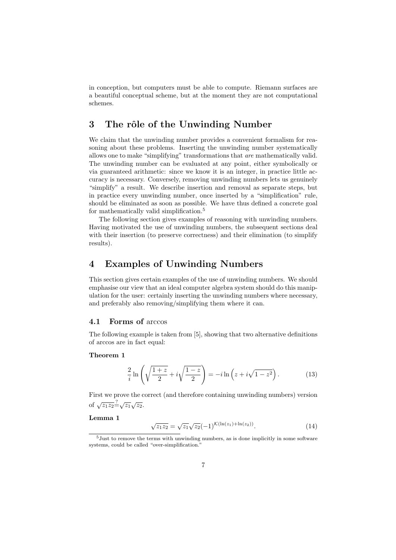in conception, but computers must be able to compute. Riemann surfaces are a beautiful conceptual scheme, but at the moment they are not computational schemes.

# 3 The rôle of the Unwinding Number

We claim that the unwinding number provides a convenient formalism for reasoning about these problems. Inserting the unwinding number systematically allows one to make "simplifying" transformations that are mathematically valid. The unwinding number can be evaluated at any point, either symbolically or via guaranteed arithmetic: since we know it is an integer, in practice little accuracy is necessary. Conversely, removing unwinding numbers lets us genuinely "simplify" a result. We describe insertion and removal as separate steps, but in practice every unwinding number, once inserted by a "simplification" rule, should be eliminated as soon as possible. We have thus defined a concrete goal for mathematically valid simplification.<sup>5</sup>

The following section gives examples of reasoning with unwinding numbers. Having motivated the use of unwinding numbers, the subsequent sections deal with their insertion (to preserve correctness) and their elimination (to simplify results).

# 4 Examples of Unwinding Numbers

This section gives certain examples of the use of unwinding numbers. We should emphasise our view that an ideal computer algebra system should do this manipulation for the user: certainly inserting the unwinding numbers where necessary, and preferably also removing/simplifying them where it can.

### 4.1 Forms of arccos

The following example is taken from [5], showing that two alternative definitions of arccos are in fact equal:

#### Theorem 1

$$
\frac{2}{i}\ln\left(\sqrt{\frac{1+z}{2}}+i\sqrt{\frac{1-z}{2}}\right) = -i\ln\left(z+i\sqrt{1-z^2}\right). \tag{13}
$$

First we prove the correct (and therefore containing unwinding numbers) version of  $\sqrt{z_1 z_2} = \sqrt{z_1} \sqrt{z_2}$ .

### Lemma 1

$$
\sqrt{z_1 z_2} = \sqrt{z_1} \sqrt{z_2} (-1)^{\mathcal{K}(\ln(z_1) + \ln(z_2))}.
$$
\n(14)

<sup>5</sup>Just to remove the terms with unwinding numbers, as is done implicitly in some software systems, could be called "over-simplification."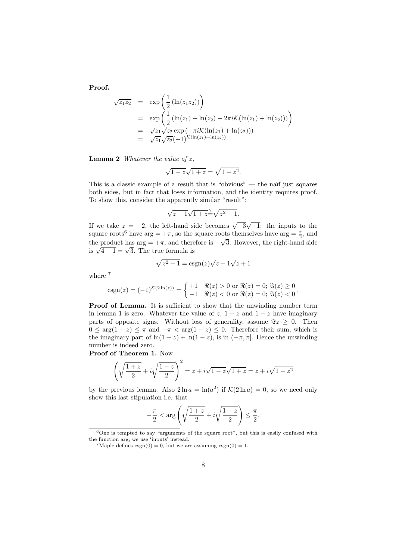Proof.

$$
\sqrt{z_1 z_2} = \exp\left(\frac{1}{2} (\ln(z_1 z_2))\right)
$$
  
\n
$$
= \exp\left(\frac{1}{2} (\ln(z_1) + \ln(z_2) - 2\pi i \mathcal{K}(\ln(z_1) + \ln(z_2)))\right)
$$
  
\n
$$
= \sqrt{z_1} \sqrt{z_2} \exp(-\pi i \mathcal{K}(\ln(z_1) + \ln(z_2)))
$$
  
\n
$$
= \sqrt{z_1} \sqrt{z_2} (-1)^{\mathcal{K}(\ln(z_1) + \ln(z_2))}
$$

**Lemma 2** Whatever the value of  $z$ ,

$$
\sqrt{1-z}\sqrt{1+z} = \sqrt{1-z^2}.
$$

This is a classic example of a result that is "obvious" — the naïf just squares both sides, but in fact that loses information, and the identity requires proof. To show this, consider the apparently similar "result":

$$
\sqrt{z-1}\sqrt{1+z^2} - \sqrt{z^2-1}.
$$

If we take  $z = -2$ , the left-hand side becomes  $\sqrt{-3}\sqrt{-1}$ : the inputs to the square roots<sup>6</sup> have arg =  $+\pi$ , so the square roots themselves have arg =  $\frac{\pi}{2}$ , and the product has  $\arg = +\pi$ , and therefore is  $-\sqrt{3}$ . However, the right-hand side the product has  $\arg = +\pi$ , and there<br>is  $\sqrt{4-1} = \sqrt{3}$ . The true formula is

$$
\sqrt{z^2 - 1} = \text{csgn}(z)\sqrt{z - 1}\sqrt{z + 1}
$$

where  $7$ 

$$
csgn(z) = (-1)^{\mathcal{K}(2\ln(z))} = \begin{cases} +1 & \Re(z) > 0 \text{ or } \Re(z) = 0; \Im(z) \ge 0\\ -1 & \Re(z) < 0 \text{ or } \Re(z) = 0; \Im(z) < 0 \end{cases}.
$$

Proof of Lemma. It is sufficient to show that the unwinding number term in lemma 1 is zero. Whatever the value of  $z$ ,  $1 + z$  and  $1 - z$  have imaginary parts of opposite signs. Without loss of generality, assume  $\Im z \geq 0$ . Then  $0 \leq \arg(1+z) \leq \pi$  and  $-\pi < \arg(1-z) \leq 0$ . Therefore their sum, which is the imaginary part of  $\ln(1+z) + \ln(1-z)$ , is in  $(-\pi, \pi]$ . Hence the unwinding number is indeed zero.

Proof of Theorem 1. Now

$$
\left(\sqrt{\frac{1+z}{2}} + i\sqrt{\frac{1-z}{2}}\right)^2 = z + i\sqrt{1-z}\sqrt{1+z} = z + i\sqrt{1-z^2}
$$

by the previous lemma. Also  $2 \ln a = \ln(a^2)$  if  $\mathcal{K}(2 \ln a) = 0$ , so we need only show this last stipulation i.e. that

$$
-\frac{\pi}{2} < \arg\left(\sqrt{\frac{1+z}{2}} + i\sqrt{\frac{1-z}{2}}\right) \le \frac{\pi}{2}.
$$

 $6$ One is tempted to say "arguments of the square root", but this is easily confused with the function arg; we use 'inputs' instead.

<sup>&</sup>lt;sup>7</sup>Maple defines csgn(0) = 0, but we are assuming csgn(0) = 1.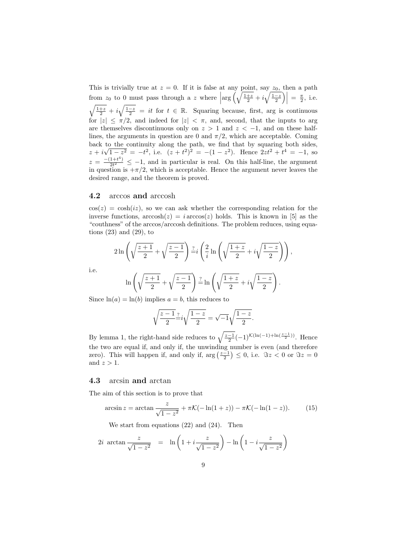This is trivially true at  $z = 0$ . If it is false at any point, say  $z_0$ , then a path from  $z_0$  to 0 must pass through a z where  $\left|\arg\left(\sqrt{\frac{1+z}{2}}+i\sqrt{\frac{1-z}{2}}\right)\right| = \frac{\pi}{2}$ , i.e.  $\sqrt{\frac{1+z}{2}} + i\sqrt{\frac{1-z}{2}} = it$  for  $t \in \mathbb{R}$ . Squaring because, first, arg is continuous for  $|z| \leq \pi/2$ , and indeed for  $|z| < \pi$ , and, second, that the inputs to arg are themselves discontinuous only on  $z > 1$  and  $z < -1$ , and on these halflines, the arguments in question are 0 and  $\pi/2$ , which are acceptable. Coming back to the continuity along the path, we find that by squaring both sides,  $z + i$  $\Gamma$ <sup> $\alpha$ </sup>  $\overline{1-z^2} = -t^2$ , i.e.  $(z+t^2)^2 = -(1-z^2)$ . Hence  $2zt^2+t^4 = -1$ , so  $z = \frac{-(1+t^4)}{2t^2}$  $\frac{1+t}{2t^2} \leq -1$ , and in particular is real. On this half-line, the argument in question is  $+\pi/2$ , which is acceptable. Hence the argument never leaves the desired range, and the theorem is proved.

### 4.2 arccos and arccosh

 $\cos(z) = \cosh(iz)$ , so we can ask whether the corresponding relation for the inverse functions,  $arccosh(z) = i \arccos(z)$  holds. This is known in [5] as the "couthness" of the arccos/arccosh definitions. The problem reduces, using equations (23) and (29), to

$$
2\ln\left(\sqrt{\frac{z+1}{2}} + \sqrt{\frac{z-1}{2}}\right) \stackrel{?}{=} i\left(\frac{2}{i}\ln\left(\sqrt{\frac{1+z}{2}} + i\sqrt{\frac{1-z}{2}}\right)\right),
$$

i.e.

$$
\ln\left(\sqrt{\frac{z+1}{2}}+\sqrt{\frac{z-1}{2}}\right)\frac{z}{2}\ln\left(\sqrt{\frac{1+z}{2}}+i\sqrt{\frac{1-z}{2}}\right).
$$

Since  $ln(a) = ln(b)$  implies  $a = b$ , this reduces to

$$
\sqrt{\frac{z-1}{2}}\frac{z}{z}i\sqrt{\frac{1-z}{2}}=\sqrt{-1}\sqrt{\frac{1-z}{2}}.
$$

By lemma 1, the right-hand side reduces to  $\sqrt{\frac{z-1}{2}}(-1)^{\mathcal{K}(\ln(-1)+\ln(\frac{z-1}{2}))}$ . Hence the two are equal if, and only if, the unwinding number is even (and therefore zero). This will happen if, and only if,  $\arg\left(\frac{z-1}{2}\right) \leq 0$ , i.e.  $\Im z < 0$  or  $\Im z = 0$ and  $z > 1$ .

### 4.3 arcsin and arctan

The aim of this section is to prove that

$$
\arcsin z = \arctan \frac{z}{\sqrt{1 - z^2}} + \pi \mathcal{K}(-\ln(1 + z)) - \pi \mathcal{K}(-\ln(1 - z)). \tag{15}
$$

We start from equations (22) and (24). Then

$$
2i \arctan \frac{z}{\sqrt{1-z^2}} = \ln \left(1 + i \frac{z}{\sqrt{1-z^2}}\right) - \ln \left(1 - i \frac{z}{\sqrt{1-z^2}}\right)
$$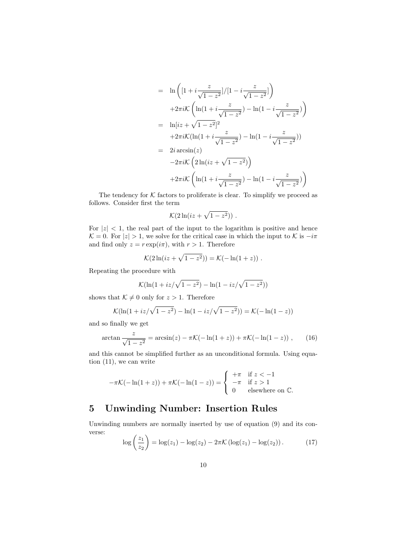$$
= \ln \left( \left[ 1 + i \frac{z}{\sqrt{1 - z^2}} \right] / \left[ 1 - i \frac{z}{\sqrt{1 - z^2}} \right] \right)
$$
  
+2\pi i \mathcal{K} \left( \ln(1 + i \frac{z}{\sqrt{1 - z^2}}) - \ln(1 - i \frac{z}{\sqrt{1 - z^2}}) \right)  
= \ln[iz + \sqrt{1 - z^2}]^2  
+2\pi i \mathcal{K} (\ln(1 + i \frac{z}{\sqrt{1 - z^2}}) - \ln(1 - i \frac{z}{\sqrt{1 - z^2}}))  
= 2i \arcsin(z)  
-2\pi i \mathcal{K} \left( 2 \ln(iz + \sqrt{1 - z^2}) \right)  
+2\pi i \mathcal{K} \left( \ln(1 + i \frac{z}{\sqrt{1 - z^2}}) - \ln(1 - i \frac{z}{\sqrt{1 - z^2}}) \right)

The tendency for  $K$  factors to proliferate is clear. To simplify we proceed as follows. Consider first the term

$$
\mathcal{K}(2\ln(iz+\sqrt{1-z^2}))\ .
$$

For  $|z|$  < 1, the real part of the input to the logarithm is positive and hence  $\mathcal{K} = 0$ . For  $|z| > 1$ , we solve for the critical case in which the input to K is  $-i\pi$ and find only  $z = r \exp(i\pi)$ , with  $r > 1$ . Therefore

$$
\mathcal{K}(2\ln(iz+\sqrt{1-z^2}))=\mathcal{K}(-\ln(1+z))\;.
$$

Repeating the procedure with

$$
\mathcal{K}(\ln(1+iz/\sqrt{1-z^2}) - \ln(1-iz/\sqrt{1-z^2}))
$$

shows that  $\mathcal{K} \neq 0$  only for  $z > 1$ . Therefore

$$
\mathcal{K}(\ln(1+iz/\sqrt{1-z^2}) - \ln(1-iz/\sqrt{1-z^2})) = \mathcal{K}(-\ln(1-z))
$$

and so finally we get

$$
\arctan\frac{z}{\sqrt{1-z^2}} = \arcsin(z) - \pi \mathcal{K}(-\ln(1+z)) + \pi \mathcal{K}(-\ln(1-z)) ,\qquad (16)
$$

and this cannot be simplified further as an unconditional formula. Using equation (11), we can write

$$
-\pi \mathcal{K}(-\ln(1+z)) + \pi \mathcal{K}(-\ln(1-z)) = \begin{cases} +\pi & \text{if } z < -1 \\ -\pi & \text{if } z > 1 \\ 0 & \text{elsewhere on } \mathbb{C}. \end{cases}
$$

# 5 Unwinding Number: Insertion Rules

Unwinding numbers are normally inserted by use of equation (9) and its converse: z<sup>1</sup>

$$
\log\left(\frac{z_1}{z_2}\right) = \log(z_1) - \log(z_2) - 2\pi \mathcal{K}\left(\log(z_1) - \log(z_2)\right). \tag{17}
$$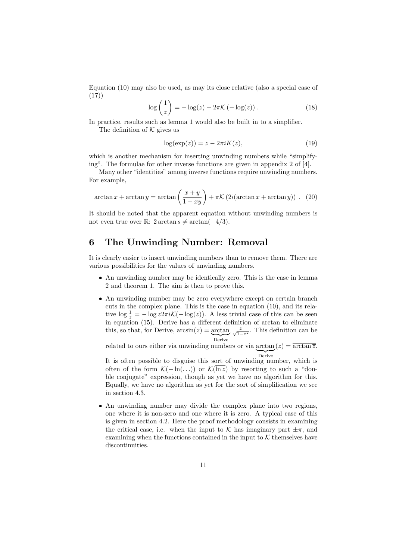Equation (10) may also be used, as may its close relative (also a special case of (17))

$$
\log\left(\frac{1}{z}\right) = -\log(z) - 2\pi \mathcal{K}\left(-\log(z)\right). \tag{18}
$$

In practice, results such as lemma 1 would also be built in to a simplifier.

The definition of  $K$  gives us

$$
log(exp(z)) = z - 2\pi i K(z), \qquad (19)
$$

which is another mechanism for inserting unwinding numbers while "simplifying". The formulae for other inverse functions are given in appendix 2 of [4].

Many other "identities" among inverse functions require unwinding numbers. For example,

$$
\arctan x + \arctan y = \arctan \left(\frac{x+y}{1-xy}\right) + \pi \mathcal{K}\left(2i(\arctan x + \arctan y)\right). \tag{20}
$$

It should be noted that the apparent equation without unwinding numbers is not even true over ℝ: 2 arctan  $s \neq \arctan(-4/3)$ .

# 6 The Unwinding Number: Removal

It is clearly easier to insert unwinding numbers than to remove them. There are various possibilities for the values of unwinding numbers.

- An unwinding number may be identically zero. This is the case in lemma 2 and theorem 1. The aim is then to prove this.
- An unwinding number may be zero everywhere except on certain branch cuts in the complex plane. This is the case in equation (10), and its relative  $\log \frac{1}{z} = -\log z 2\pi i \mathcal{K}(-\log(z))$ . A less trivial case of this can be seen in equation (15). Derive has a different definition of arctan to eliminate this, so that, for Derive,  $arcsin(z) = \frac{arctan}{\sqrt{1-z^2}}$ . This definition can be Derive

related to ours either via unwinding numbers or via  $arctan(z) = \overline{arctan \overline{z}}$ . Derive

It is often possible to disguise this sort of unwinding number, which is often of the form  $\mathcal{K}(-\ln(\ldots))$  or  $\mathcal{K}(\overline{\ln z})$  by resorting to such a "double conjugate" expression, though as yet we have no algorithm for this. Equally, we have no algorithm as yet for the sort of simplification we see in section 4.3.

• An unwinding number may divide the complex plane into two regions, one where it is non-zero and one where it is zero. A typical case of this is given in section 4.2. Here the proof methodology consists in examining the critical case, i.e. when the input to K has imaginary part  $\pm \pi$ , and examining when the functions contained in the input to  $K$  themselves have discontinuities.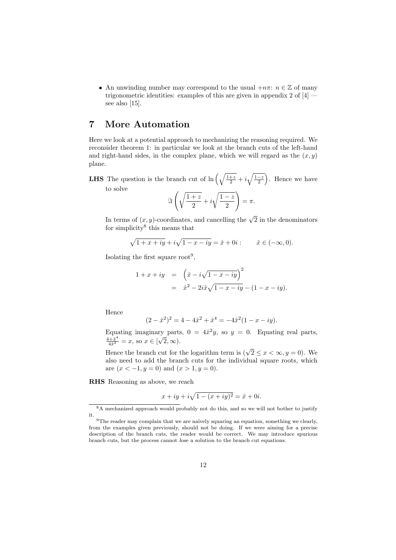• An unwinding number may correspond to the usual  $+n\pi$ :  $n \in \mathbb{Z}$  of many trigonometric identities: examples of this are given in appendix 2 of [4] see also [15].

# 7 More Automation

Here we look at a potential approach to mechanizing the reasoning required. We reconsider theorem 1: in particular we look at the branch cuts of the left-hand and right-hand sides, in the complex plane, which we will regard as the  $(x, y)$ plane.

**LHS** The question is the branch cut of  $\ln\left(\sqrt{\frac{1+z}{2}}+i\sqrt{\frac{1-z}{2}}\right)$ . Hence we have to solve

$$
\Im\left(\sqrt{\frac{1+z}{2}}+i\sqrt{\frac{1-z}{2}}\right)=\pi.
$$

In terms of  $(x, y)$ -coordinates, and cancelling the  $\sqrt{2}$  in the denominators for simplicity<sup>8</sup> this means that

$$
\sqrt{1 + x + iy} + i\sqrt{1 - x - iy} = \hat{x} + 0i
$$
:  $\hat{x} \in (-\infty, 0)$ .

Isolating the first square root<sup>9</sup>,

$$
1 + x + iy = \left(\hat{x} - i\sqrt{1 - x - iy}\right)^2
$$
  
=  $\hat{x}^2 - 2i\hat{x}\sqrt{1 - x - iy} - (1 - x - iy).$ 

Hence

$$
(2 - \hat{x}^2)^2 = 4 - 4\hat{x}^2 + \hat{x}^4 = -4\hat{x}^2(1 - x - iy).
$$

Equating imaginary parts,  $0 = 4\hat{x}^2y$ , so  $y = 0$ . Equating real parts,  $\frac{4+\hat{x}^4}{4\hat{x}^2} = x$ , so  $x \in [\sqrt{2}, \infty)$ .

Hence the branch cut for the logarithm term is  $(\sqrt{2} \leq x < \infty, y = 0)$ . We also need to add the branch cuts for the individual square roots, which are  $(x < -1, y = 0)$  and  $(x > 1, y = 0)$ .

RHS Reasoning as above, we reach

$$
x + iy + i\sqrt{1 - (x + iy)^2} = \hat{x} + 0i.
$$

<sup>&</sup>lt;sup>8</sup>A mechanized approach would probably not do this, and so we will not bother to justify it.

 $9$ The reader may complain that we are naïvely squaring an equation, something we clearly, from the examples given previously, should not be doing. If we were aiming for a precise description of the branch cuts, the reader would be correct. We may introduce spurious branch cuts, but the process cannot lose a solution to the branch cut equations.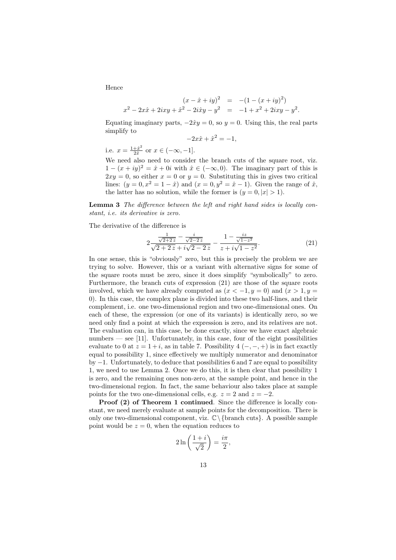Hence

$$
(x - \hat{x} + iy)^2 = -(1 - (x + iy)^2)
$$
  

$$
x^2 - 2x\hat{x} + 2ixy + \hat{x}^2 - 2i\hat{x}y - y^2 = -1 + x^2 + 2ixy - y^2.
$$

Equating imaginary parts,  $-2\hat{x}y = 0$ , so  $y = 0$ . Using this, the real parts simplify to

$$
-2x\hat{x} + \hat{x}^2 = -1,
$$

i.e.  $x = \frac{1 + \hat{x}^2}{2\hat{x}}$  $\frac{+x^2}{2\hat{x}}$  or  $x \in (-\infty, -1]$ .

We need also need to consider the branch cuts of the square root, viz.  $1 - (x + iy)^2 = \hat{x} + 0i$  with  $\hat{x} \in (-\infty, 0)$ . The imaginary part of this is  $2xy = 0$ , so either  $x = 0$  or  $y = 0$ . Substituting this in gives two critical lines:  $(y = 0, x^2 = 1 - \hat{x})$  and  $(x = 0, y^2 = \hat{x} - 1)$ . Given the range of  $\hat{x}$ , the latter has no solution, while the former is  $(y = 0, |x| > 1)$ .

Lemma 3 The difference between the left and right hand sides is locally constant, i.e. its derivative is zero.

The derivative of the difference is

$$
2\frac{\frac{1}{\sqrt{2+2z}} - \frac{i}{\sqrt{2-2z}}}{\sqrt{2+2z} + i\sqrt{2-2z}} - \frac{1 - \frac{iz}{\sqrt{1-z^2}}}{z + i\sqrt{1-z^2}}.\tag{21}
$$

In one sense, this is "obviously" zero, but this is precisely the problem we are trying to solve. However, this or a variant with alternative signs for some of the square roots must be zero, since it does simplify "symbolically" to zero. Furthermore, the branch cuts of expression (21) are those of the square roots involved, which we have already computed as  $(x < -1, y = 0)$  and  $(x > 1, y = 1)$ 0). In this case, the complex plane is divided into these two half-lines, and their complement, i.e. one two-dimensional region and two one-dimensional ones. On each of these, the expression (or one of its variants) is identically zero, so we need only find a point at which the expression is zero, and its relatives are not. The evaluation can, in this case, be done exactly, since we have exact algebraic numbers — see [11]. Unfortunately, in this case, four of the eight possibilities evaluate to 0 at  $z = 1 + i$ , as in table 7. Possibility 4  $(-, -, +)$  is in fact exactly equal to possibility 1, since effectively we multiply numerator and denominator by  $-1$ . Unfortunately, to deduce that possibilities 6 and 7 are equal to possibility 1, we need to use Lemma 2. Once we do this, it is then clear that possibility 1 is zero, and the remaining ones non-zero, at the sample point, and hence in the two-dimensional region. In fact, the same behaviour also takes place at sample points for the two one-dimensional cells, e.g.  $z = 2$  and  $z = -2$ .

Proof (2) of Theorem 1 continued. Since the difference is locally constant, we need merely evaluate at sample points for the decomposition. There is only one two-dimensional component, viz.  $\mathbb{C}\setminus\{\text{branch cuts}\}.$  A possible sample point would be  $z = 0$ , when the equation reduces to

$$
2\ln\left(\frac{1+i}{\sqrt{2}}\right) = \frac{i\pi}{2},
$$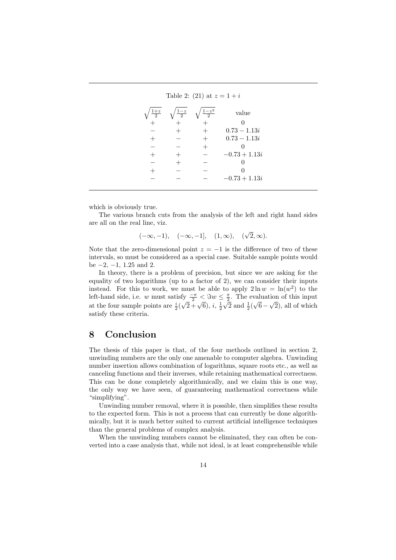| Table 2: (21) at $z = 1 + i$ |                 |                             |                 |
|------------------------------|-----------------|-----------------------------|-----------------|
| $1+z$                        | $\frac{1-z}{2}$ | $1 - z^2$<br>$\overline{2}$ | value           |
|                              |                 |                             |                 |
|                              |                 |                             | $0.73 - 1.13i$  |
|                              |                 |                             | $0.73 - 1.13i$  |
|                              |                 |                             |                 |
|                              |                 |                             | $-0.73 + 1.13i$ |
|                              |                 |                             |                 |
|                              |                 |                             |                 |
|                              |                 |                             | $-0.73 + 1.13i$ |

which is obviously true.

The various branch cuts from the analysis of the left and right hand sides are all on the real line, viz.

$$
(-\infty, -1), \quad (-\infty, -1], \quad (1, \infty), \quad (\sqrt{2}, \infty).
$$

Note that the zero-dimensional point  $z = -1$  is the difference of two of these intervals, so must be considered as a special case. Suitable sample points would be  $-2$ ,  $-1$ , 1.25 and 2.

In theory, there is a problem of precision, but since we are asking for the equality of two logarithms (up to a factor of 2), we can consider their inputs instead. For this to work, we must be able to apply  $2 \ln w = \ln(w^2)$  to the left-hand side, i.e. w must satisfy  $\frac{-\pi}{2} < \Im w \leq \frac{\pi}{2}$ . The evaluation of this input at the four sample points are  $\frac{i}{2}$  $\frac{1}{\sqrt{2} + \sqrt{6}}, i, \frac{1}{2}$  $\frac{1}{2}$  and  $\frac{1}{2}$ √  $6 -$ √u<br>∖ 2), all of which satisfy these criteria.

## 8 Conclusion

The thesis of this paper is that, of the four methods outlined in section 2, unwinding numbers are the only one amenable to computer algebra. Unwinding number insertion allows combination of logarithms, square roots etc., as well as canceling functions and their inverses, while retaining mathematical correctness. This can be done completely algorithmically, and we claim this is one way, the only way we have seen, of guaranteeing mathematical correctness while "simplifying".

Unwinding number removal, where it is possible, then simplifies these results to the expected form. This is not a process that can currently be done algorithmically, but it is much better suited to current artificial intelligence techniques than the general problems of complex analysis.

When the unwinding numbers cannot be eliminated, they can often be converted into a case analysis that, while not ideal, is at least comprehensible while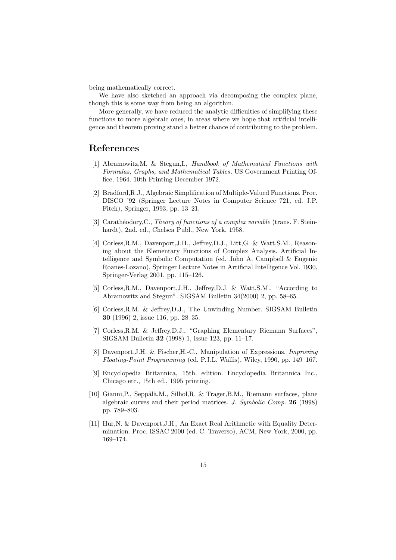being mathematically correct.

We have also sketched an approach via decomposing the complex plane, though this is some way from being an algorithm.

More generally, we have reduced the analytic difficulties of simplifying these functions to more algebraic ones, in areas where we hope that artificial intelligence and theorem proving stand a better chance of contributing to the problem.

### References

- [1] Abramowitz,M. & Stegun,I., Handbook of Mathematical Functions with Formulas, Graphs, and Mathematical Tables. US Government Printing Office, 1964. 10th Printing December 1972.
- [2] Bradford,R.J., Algebraic Simplification of Multiple-Valued Functions. Proc. DISCO '92 (Springer Lecture Notes in Computer Science 721, ed. J.P. Fitch), Springer, 1993, pp. 13–21.
- [3] Carathéodory,C., Theory of functions of a complex variable (trans. F. Steinhardt), 2nd. ed., Chelsea Publ., New York, 1958.
- [4] Corless,R.M., Davenport,J.H., Jeffrey,D.J., Litt,G. & Watt,S.M., Reasoning about the Elementary Functions of Complex Analysis. Artificial Intelligence and Symbolic Computation (ed. John A. Campbell & Eugenio Roanes-Lozano), Springer Lecture Notes in Artificial Intelligence Vol. 1930, Springer-Verlag 2001, pp. 115–126.
- [5] Corless,R.M., Davenport,J.H., Jeffrey,D.J. & Watt,S.M., "According to Abramowitz and Stegun". SIGSAM Bulletin 34(2000) 2, pp. 58–65.
- [6] Corless,R.M. & Jeffrey,D.J., The Unwinding Number. SIGSAM Bulletin 30 (1996) 2, issue 116, pp. 28–35.
- [7] Corless,R.M. & Jeffrey,D.J., "Graphing Elementary Riemann Surfaces", SIGSAM Bulletin 32 (1998) 1, issue 123, pp. 11–17.
- [8] Davenport,J.H. & Fischer,H.-C., Manipulation of Expressions. Improving Floating-Point Programming (ed. P.J.L. Wallis), Wiley, 1990, pp. 149–167.
- [9] Encyclopedia Britannica, 15th. edition. Encyclopedia Britannica Inc., Chicago etc., 15th ed., 1995 printing.
- [10] Gianni, P., Seppälä, M., Silhol, R. & Trager, B.M., Riemann surfaces, plane algebraic curves and their period matrices. J. Symbolic Comp. 26 (1998) pp. 789–803.
- [11] Hur,N. & Davenport,J.H., An Exact Real Arithmetic with Equality Determination. Proc. ISSAC 2000 (ed. C. Traverso), ACM, New York, 2000, pp. 169–174.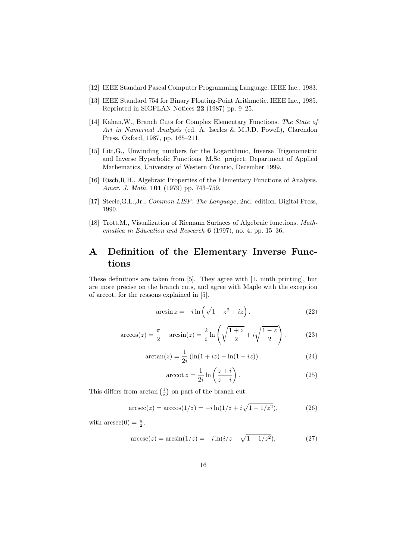- [12] IEEE Standard Pascal Computer Programming Language. IEEE Inc., 1983.
- [13] IEEE Standard 754 for Binary Floating-Point Arithmetic. IEEE Inc., 1985. Reprinted in SIGPLAN Notices 22 (1987) pp. 9–25.
- [14] Kahan,W., Branch Cuts for Complex Elementary Functions. The State of Art in Numerical Analysis (ed. A. Iserles & M.J.D. Powell), Clarendon Press, Oxford, 1987, pp. 165–211.
- [15] Litt,G., Unwinding numbers for the Logarithmic, Inverse Trigonometric and Inverse Hyperbolic Functions. M.Sc. project, Department of Applied Mathematics, University of Western Ontario, December 1999.
- [16] Risch,R.H., Algebraic Properties of the Elementary Functions of Analysis. Amer. J. Math. **101** (1979) pp. 743-759.
- [17] Steele,G.L.,Jr., Common LISP: The Language, 2nd. edition. Digital Press, 1990.
- [18] Trott,M., Visualization of Riemann Surfaces of Algebraic functions. Mathematica in Education and Research  $6$  (1997), no. 4, pp. 15–36,

# A Definition of the Elementary Inverse Functions

These definitions are taken from [5]. They agree with [1, ninth printing], but are more precise on the branch cuts, and agree with Maple with the exception of arccot, for the reasons explained in [5].

$$
\arcsin z = -i \ln \left( \sqrt{1 - z^2} + iz \right). \tag{22}
$$

$$
\arccos(z) = \frac{\pi}{2} - \arcsin(z) = \frac{2}{i} \ln\left(\sqrt{\frac{1+z}{2}} + i\sqrt{\frac{1-z}{2}}\right). \tag{23}
$$

$$
\arctan(z) = \frac{1}{2i} \left( \ln(1+iz) - \ln(1-iz) \right). \tag{24}
$$

$$
\operatorname{arccot} z = \frac{1}{2i} \ln \left( \frac{z+i}{z-i} \right). \tag{25}
$$

This differs from  $arctan(\frac{1}{z})$  on part of the branch cut.

$$
\arcsc(z) = \arccos(1/z) = -i\ln(1/z + i\sqrt{1 - 1/z^2}),\tag{26}
$$

with  $\operatorname{arcsec}(0) = \frac{\pi}{2}$ .

$$
\arccsc(z) = \arcsin(1/z) = -i\ln(i/z + \sqrt{1 - 1/z^2}),\tag{27}
$$